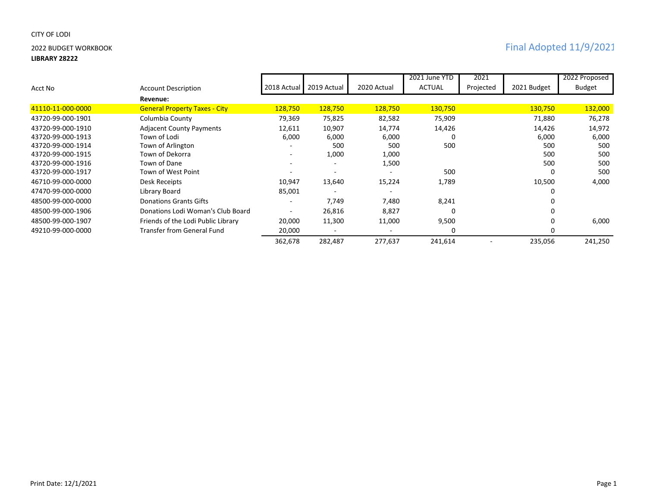# CITY OF LODI

### **LIBRARY 28222**

|                   |                                      |                          |             |             | 2021 June YTD | 2021      |             | 2022 Proposed |
|-------------------|--------------------------------------|--------------------------|-------------|-------------|---------------|-----------|-------------|---------------|
| Acct No           | <b>Account Description</b>           | 2018 Actual              | 2019 Actual | 2020 Actual | <b>ACTUAL</b> | Projected | 2021 Budget | Budget        |
|                   | Revenue:                             |                          |             |             |               |           |             |               |
| 41110-11-000-0000 | <b>General Property Taxes - City</b> | 128,750                  | 128,750     | 128,750     | 130,750       |           | 130,750     | 132,000       |
| 43720-99-000-1901 | Columbia County                      | 79,369                   | 75,825      | 82,582      | 75,909        |           | 71,880      | 76,278        |
| 43720-99-000-1910 | <b>Adjacent County Payments</b>      | 12,611                   | 10,907      | 14,774      | 14,426        |           | 14,426      | 14,972        |
| 43720-99-000-1913 | Town of Lodi                         | 6,000                    | 6,000       | 6,000       | 0             |           | 6,000       | 6,000         |
| 43720-99-000-1914 | Town of Arlington                    |                          | 500         | 500         | 500           |           | 500         | 500           |
| 43720-99-000-1915 | Town of Dekorra                      | $\overline{\phantom{a}}$ | 1,000       | 1,000       |               |           | 500         | 500           |
| 43720-99-000-1916 | Town of Dane                         |                          | ٠           | 1,500       |               |           | 500         | 500           |
| 43720-99-000-1917 | Town of West Point                   |                          |             |             | 500           |           |             | 500           |
| 46710-99-000-0000 | Desk Receipts                        | 10,947                   | 13,640      | 15,224      | 1,789         |           | 10,500      | 4,000         |
| 47470-99-000-0000 | Library Board                        | 85,001                   |             |             |               |           |             |               |
| 48500-99-000-0000 | Donations Grants Gifts               |                          | 7,749       | 7,480       | 8,241         |           |             |               |
| 48500-99-000-1906 | Donations Lodi Woman's Club Board    |                          | 26,816      | 8,827       | 0             |           |             |               |
| 48500-99-000-1907 | Friends of the Lodi Public Library   | 20,000                   | 11,300      | 11,000      | 9,500         |           |             | 6,000         |
| 49210-99-000-0000 | Transfer from General Fund           | 20,000                   |             |             | $\Omega$      |           |             |               |
|                   |                                      | 362,678                  | 282,487     | 277,637     | 241,614       |           | 235,056     | 241,250       |